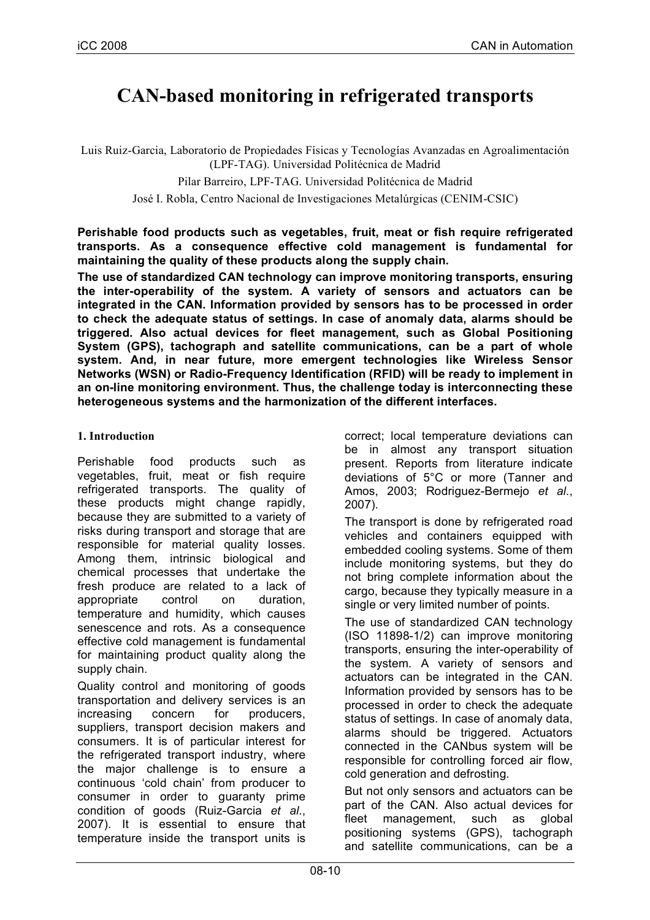# **CAN-based monitoring in refrigerated transports**

Luis Ruiz-Garcia, Laboratorio de Propiedades Físicas y Tecnologías Avanzadas en Agroalimentación (LPF-TAG). Universidad Politécnica de Madrid

Pilar Barreiro, LPF-TAG. Universidad Politécnica de Madrid

José I. Robla, Centro Nacional de Investigaciones Metalúrgicas (CENIM-CSIC)

#### **Perishable food products such as vegetables, fruit, meat or fish require refrigerated transports. As a consequence effective cold management is fundamental for maintaining the quality of these products along the supply chain.**

**The use of standardized CAN technology can improve monitoring transports, ensuring the inter-operability of the system. A variety of sensors and actuators can be integrated in the CAN. Information provided by sensors has to be processed in order to check the adequate status of settings. In case of anomaly data, alarms should be triggered. Also actual devices for fleet management, such as Global Positioning System (GPS), tachograph and satellite communications, can be a part of whole system. And, in near future, more emergent technologies like Wireless Sensor Networks (WSN) or Radio-Frequency Identification (RFID) will be ready to implement in an on-line monitoring environment. Thus, the challenge today is interconnecting these heterogeneous systems and the harmonization of the different interfaces.**

## **1. Introduction**

Perishable food products such as vegetables, fruit, meat or fish require refrigerated transports. The quality of these products might change rapidly, because they are submitted to a variety of risks during transport and storage that are responsible for material quality losses. Among them, intrinsic biological and chemical processes that undertake the fresh produce are related to a lack of appropriate control on duration, temperature and humidity, which causes senescence and rots. As a consequence effective cold management is fundamental for maintaining product quality along the supply chain.

Quality control and monitoring of goods transportation and delivery services is an increasing concern for producers, suppliers, transport decision makers and consumers. It is of particular interest for the refrigerated transport industry, where the major challenge is to ensure a continuous 'cold chain' from producer to consumer in order to guaranty prime condition of goods (Ruiz-Garcia *et al*., 2007). It is essential to ensure that temperature inside the transport units is

correct; local temperature deviations can be in almost any transport situation present. Reports from literature indicate deviations of 5°C or more (Tanner and Amos, 2003; Rodriguez-Bermejo *et al*., 2007).

The transport is done by refrigerated road vehicles and containers equipped with embedded cooling systems. Some of them include monitoring systems, but they do not bring complete information about the cargo, because they typically measure in a single or very limited number of points.

The use of standardized CAN technology (ISO 11898-1/2) can improve monitoring transports, ensuring the inter-operability of the system. A variety of sensors and actuators can be integrated in the CAN. Information provided by sensors has to be processed in order to check the adequate status of settings. In case of anomaly data, alarms should be triggered. Actuators connected in the CANbus system will be responsible for controlling forced air flow, cold generation and defrosting.

But not only sensors and actuators can be part of the CAN. Also actual devices for fleet management, such as global positioning systems (GPS), tachograph and satellite communications, can be a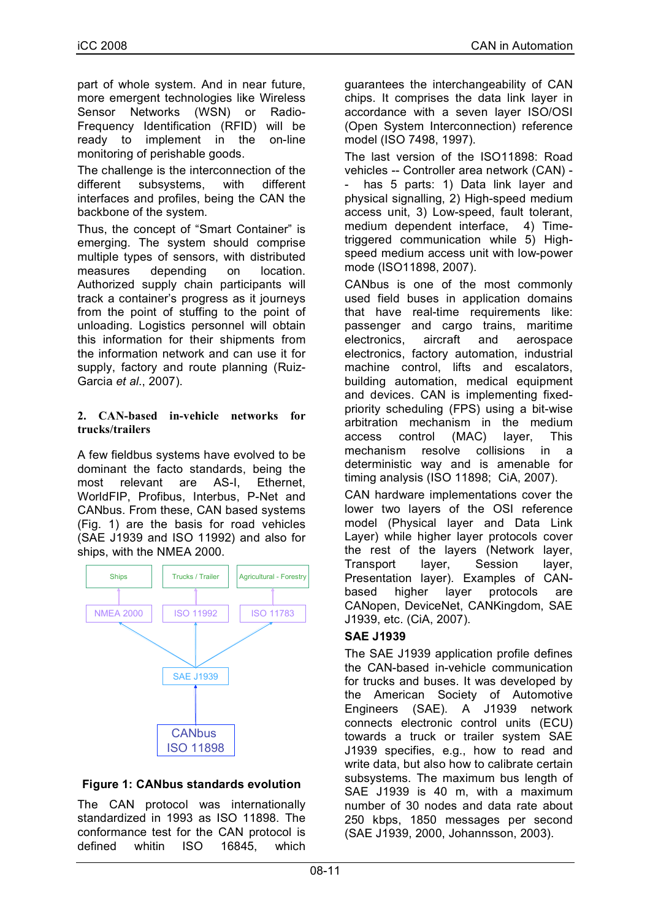part of whole system. And in near future, more emergent technologies like Wireless Sensor Networks (WSN) or Radio-Frequency Identification (RFID) will be ready to implement in the on-line monitoring of perishable goods.

The challenge is the interconnection of the different subsystems, with different interfaces and profiles, being the CAN the backbone of the system.

Thus, the concept of "Smart Container" is emerging. The system should comprise multiple types of sensors, with distributed measures depending on location. Authorized supply chain participants will track a container's progress as it journeys from the point of stuffing to the point of unloading. Logistics personnel will obtain this information for their shipments from the information network and can use it for supply, factory and route planning (Ruiz-Garcia *et al*., 2007).

## **2. CAN-based in-vehicle networks for trucks/trailers**

A few fieldbus systems have evolved to be dominant the facto standards, being the most relevant are AS-I, Ethernet, WorldFIP, Profibus, Interbus, P-Net and CANbus. From these, CAN based systems (Fig. 1) are the basis for road vehicles (SAE J1939 and ISO 11992) and also for ships, with the NMEA 2000.



## **Figure 1: CANbus standards evolution**

The CAN protocol was internationally standardized in 1993 as ISO 11898. The conformance test for the CAN protocol is defined whitin ISO 16845, which guarantees the interchangeability of CAN chips. It comprises the data link layer in accordance with a seven layer ISO/OSI (Open System Interconnection) reference model (ISO 7498, 1997).

The last version of the ISO11898: Road vehicles -- Controller area network (CAN) has 5 parts: 1) Data link layer and physical signalling, 2) High-speed medium access unit, 3) Low-speed, fault tolerant, medium dependent interface, 4) Timetriggered communication while 5) Highspeed medium access unit with low-power mode (ISO11898, 2007).

CANbus is one of the most commonly used field buses in application domains that have real-time requirements like: passenger and cargo trains, maritime electronics, aircraft and aerospace electronics, factory automation, industrial machine control, lifts and escalators, building automation, medical equipment and devices. CAN is implementing fixedpriority scheduling (FPS) using a bit-wise arbitration mechanism in the medium access control (MAC) layer, This mechanism resolve collisions in a deterministic way and is amenable for timing analysis (ISO 11898; CiA, 2007).

CAN hardware implementations cover the lower two layers of the OSI reference model (Physical layer and Data Link Layer) while higher layer protocols cover the rest of the layers (Network layer, Transport layer, Session layer, Presentation layer). Examples of CANbased higher layer protocols are CANopen, DeviceNet, CANKingdom, SAE J1939, etc. (CiA, 2007).

## **SAE J1939**

The SAE J1939 application profile defines the CAN-based in-vehicle communication for trucks and buses. It was developed by the American Society of Automotive Engineers (SAE). A J1939 network connects electronic control units (ECU) towards a truck or trailer system SAE J1939 specifies, e.g., how to read and write data, but also how to calibrate certain subsystems. The maximum bus length of SAE J1939 is 40 m, with a maximum number of 30 nodes and data rate about 250 kbps, 1850 messages per second (SAE J1939, 2000, Johannsson, 2003).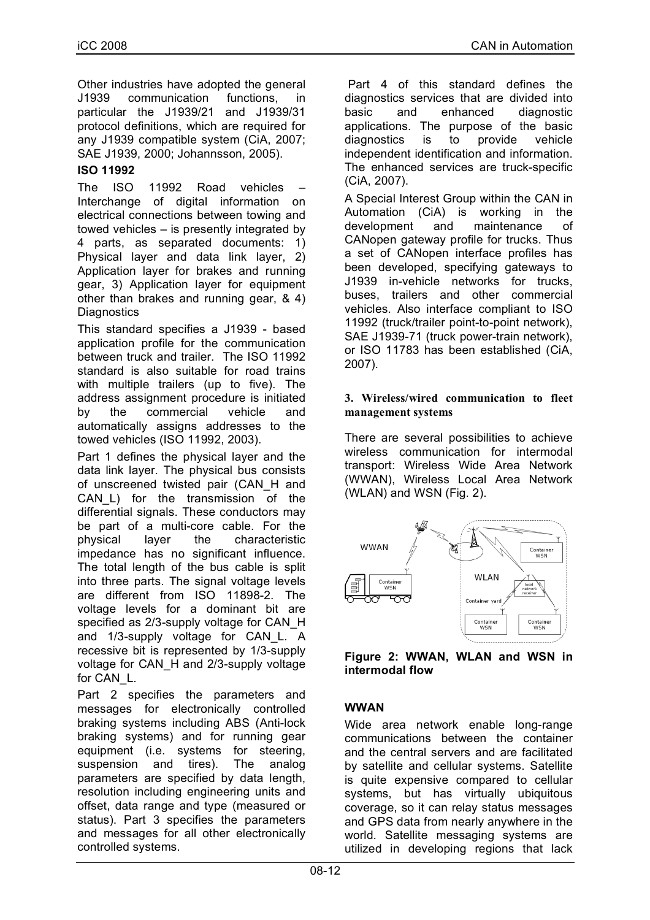Other industries have adopted the general J1939 communication functions, in particular the J1939/21 and J1939/31 protocol definitions, which are required for any J1939 compatible system (CiA, 2007; SAE J1939, 2000; Johannsson, 2005).

## **ISO 11992**

The ISO 11992 Road vehicles Interchange of digital information on electrical connections between towing and towed vehicles – is presently integrated by 4 parts, as separated documents: 1) Physical layer and data link layer, 2) Application layer for brakes and running gear, 3) Application layer for equipment other than brakes and running gear, & 4) **Diagnostics** 

This standard specifies a J1939 - based application profile for the communication between truck and trailer. The ISO 11992 standard is also suitable for road trains with multiple trailers (up to five). The address assignment procedure is initiated by the commercial vehicle and automatically assigns addresses to the towed vehicles (ISO 11992, 2003).

Part 1 defines the physical layer and the data link layer. The physical bus consists of unscreened twisted pair (CAN\_H and CAN\_L) for the transmission of the differential signals. These conductors may be part of a multi-core cable. For the physical layer the characteristic impedance has no significant influence. The total length of the bus cable is split into three parts. The signal voltage levels are different from ISO 11898-2. The voltage levels for a dominant bit are specified as 2/3-supply voltage for CAN\_H and 1/3-supply voltage for CAN\_L. A recessive bit is represented by 1/3-supply voltage for CAN\_H and 2/3-supply voltage for CAN\_L.

Part 2 specifies the parameters and messages for electronically controlled braking systems including ABS (Anti-lock braking systems) and for running gear equipment (i.e. systems for steering, suspension and tires). The analog parameters are specified by data length, resolution including engineering units and offset, data range and type (measured or status). Part 3 specifies the parameters and messages for all other electronically controlled systems.

Part 4 of this standard defines the diagnostics services that are divided into basic and enhanced diagnostic applications. The purpose of the basic diagnostics is to provide vehicle independent identification and information. The enhanced services are truck-specific (CiA, 2007).

A Special Interest Group within the CAN in Automation (CiA) is working in the development and maintenance of CANopen gateway profile for trucks. Thus a set of CANopen interface profiles has been developed, specifying gateways to J1939 in-vehicle networks for trucks, buses, trailers and other commercial vehicles. Also interface compliant to ISO 11992 (truck/trailer point-to-point network), SAE J1939-71 (truck power-train network), or ISO 11783 has been established (CiA, 2007).

#### **3. Wireless/wired communication to fleet management systems**

There are several possibilities to achieve wireless communication for intermodal transport: Wireless Wide Area Network (WWAN), Wireless Local Area Network (WLAN) and WSN (Fig. 2).



**Figure 2: WWAN, WLAN and WSN in intermodal flow**

## **WWAN**

Wide area network enable long-range communications between the container and the central servers and are facilitated by satellite and cellular systems. Satellite is quite expensive compared to cellular systems, but has virtually ubiquitous coverage, so it can relay status messages and GPS data from nearly anywhere in the world. Satellite messaging systems are utilized in developing regions that lack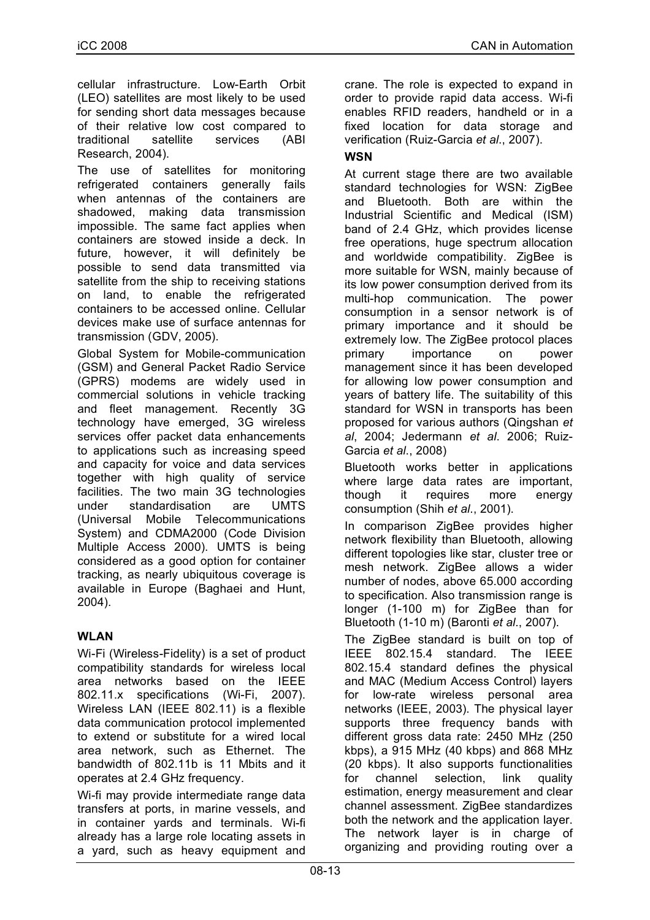cellular infrastructure. Low-Earth Orbit (LEO) satellites are most likely to be used for sending short data messages because of their relative low cost compared to traditional satellite services (ABI Research, 2004).

The use of satellites for monitoring refrigerated containers generally fails when antennas of the containers are shadowed, making data transmission impossible. The same fact applies when containers are stowed inside a deck. In future, however, it will definitely be possible to send data transmitted via satellite from the ship to receiving stations on land, to enable the refrigerated containers to be accessed online. Cellular devices make use of surface antennas for transmission (GDV, 2005).

Global System for Mobile-communication (GSM) and General Packet Radio Service (GPRS) modems are widely used in commercial solutions in vehicle tracking and fleet management. Recently 3G technology have emerged, 3G wireless services offer packet data enhancements to applications such as increasing speed and capacity for voice and data services together with high quality of service facilities. The two main 3G technologies under standardisation are UMTS (Universal Mobile Telecommunications System) and CDMA2000 (Code Division Multiple Access 2000). UMTS is being considered as a good option for container tracking, as nearly ubiquitous coverage is available in Europe (Baghaei and Hunt, 2004).

## **WLAN**

Wi-Fi (Wireless-Fidelity) is a set of product compatibility standards for wireless local area networks based on the IEEE 802.11.x specifications (Wi-Fi, 2007). Wireless LAN (IEEE 802.11) is a flexible data communication protocol implemented to extend or substitute for a wired local area network, such as Ethernet. The bandwidth of 802.11b is 11 Mbits and it operates at 2.4 GHz frequency.

Wi-fi may provide intermediate range data transfers at ports, in marine vessels, and in container yards and terminals. Wi-fi already has a large role locating assets in a yard, such as heavy equipment and crane. The role is expected to expand in order to provide rapid data access. Wi-fi enables RFID readers, handheld or in a fixed location for data storage and verification (Ruiz-Garcia *et al*., 2007).

## **WSN**

At current stage there are two available standard technologies for WSN: ZigBee and Bluetooth. Both are within the Industrial Scientific and Medical (ISM) band of 2.4 GHz, which provides license free operations, huge spectrum allocation and worldwide compatibility. ZigBee is more suitable for WSN, mainly because of its low power consumption derived from its multi-hop communication. The power consumption in a sensor network is of primary importance and it should be extremely low. The ZigBee protocol places primary importance on power management since it has been developed for allowing low power consumption and years of battery life. The suitability of this standard for WSN in transports has been proposed for various authors (Qingshan *et al*, 2004; Jedermann *et al*. 2006; Ruiz-Garcia *et al*., 2008)

Bluetooth works better in applications where large data rates are important, though it requires more energy consumption (Shih *et al*., 2001).

In comparison ZigBee provides higher network flexibility than Bluetooth, allowing different topologies like star, cluster tree or mesh network. ZigBee allows a wider number of nodes, above 65.000 according to specification. Also transmission range is longer (1-100 m) for ZigBee than for Bluetooth (1-10 m) (Baronti *et al*., 2007).

The ZigBee standard is built on top of IEEE 802.15.4 standard. The IEEE 802.15.4 standard defines the physical and MAC (Medium Access Control) layers for low-rate wireless personal area networks (IEEE, 2003). The physical layer supports three frequency bands with different gross data rate: 2450 MHz (250 kbps), a 915 MHz (40 kbps) and 868 MHz (20 kbps). It also supports functionalities for channel selection, link quality estimation, energy measurement and clear channel assessment. ZigBee standardizes both the network and the application layer. The network layer is in charge of organizing and providing routing over a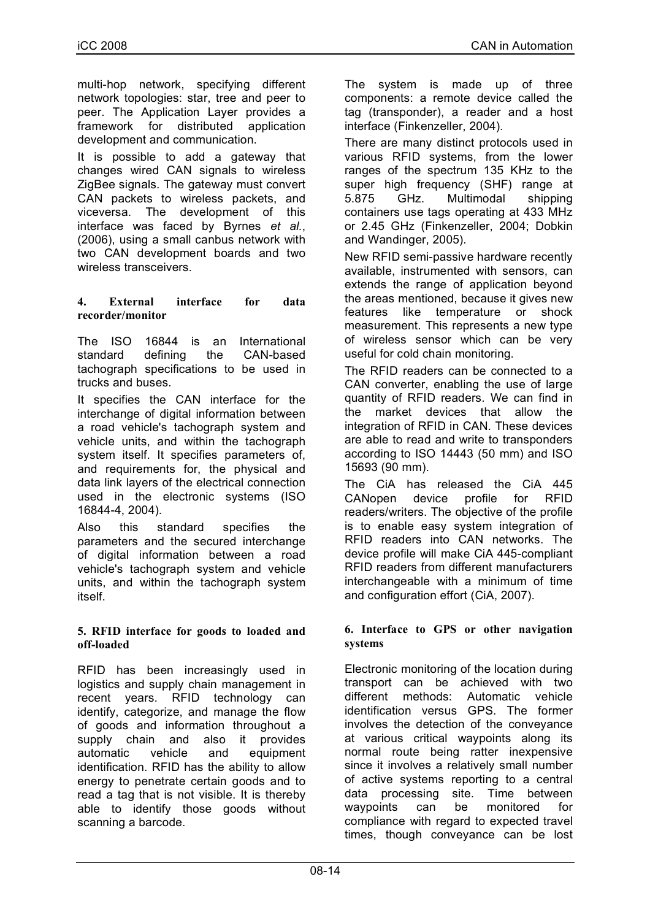multi-hop network, specifying different network topologies: star, tree and peer to peer. The Application Layer provides a framework for distributed application development and communication.

It is possible to add a gateway that changes wired CAN signals to wireless ZigBee signals. The gateway must convert CAN packets to wireless packets, and viceversa. The development of this interface was faced by Byrnes *et al.*, (2006), using a small canbus network with two CAN development boards and two wireless transceivers.

#### **4. External interface for data recorder/monitor**

The ISO 16844 is an International standard defining the CAN-based tachograph specifications to be used in trucks and buses.

It specifies the CAN interface for the interchange of digital information between a road vehicle's tachograph system and vehicle units, and within the tachograph system itself. It specifies parameters of, and requirements for, the physical and data link layers of the electrical connection used in the electronic systems (ISO 16844-4, 2004).

Also this standard specifies the parameters and the secured interchange of digital information between a road vehicle's tachograph system and vehicle units, and within the tachograph system itself.

#### **5. RFID interface for goods to loaded and off-loaded**

RFID has been increasingly used in logistics and supply chain management in recent years. RFID technology can identify, categorize, and manage the flow of goods and information throughout a supply chain and also it provides automatic vehicle and equipment identification. RFID has the ability to allow energy to penetrate certain goods and to read a tag that is not visible. It is thereby able to identify those goods without scanning a barcode.

The system is made up of three components: a remote device called the tag (transponder), a reader and a host interface (Finkenzeller, 2004).

There are many distinct protocols used in various RFID systems, from the lower ranges of the spectrum 135 KHz to the super high frequency (SHF) range at 5.875 GHz. Multimodal shipping containers use tags operating at 433 MHz or 2.45 GHz (Finkenzeller, 2004; Dobkin and Wandinger, 2005).

New RFID semi-passive hardware recently available, instrumented with sensors, can extends the range of application beyond the areas mentioned, because it gives new features like temperature or shock measurement. This represents a new type of wireless sensor which can be very useful for cold chain monitoring.

The RFID readers can be connected to a CAN converter, enabling the use of large quantity of RFID readers. We can find in the market devices that allow the integration of RFID in CAN. These devices are able to read and write to transponders according to ISO 14443 (50 mm) and ISO 15693 (90 mm).

The CiA has released the CiA 445 CANopen device profile for RFID readers/writers. The objective of the profile is to enable easy system integration of RFID readers into CAN networks. The device profile will make CiA 445-compliant RFID readers from different manufacturers interchangeable with a minimum of time and configuration effort (CiA, 2007).

## **6. Interface to GPS or other navigation systems**

Electronic monitoring of the location during transport can be achieved with two different methods: Automatic vehicle identification versus GPS. The former involves the detection of the conveyance at various critical waypoints along its normal route being ratter inexpensive since it involves a relatively small number of active systems reporting to a central data processing site. Time between waypoints can be monitored for compliance with regard to expected travel times, though conveyance can be lost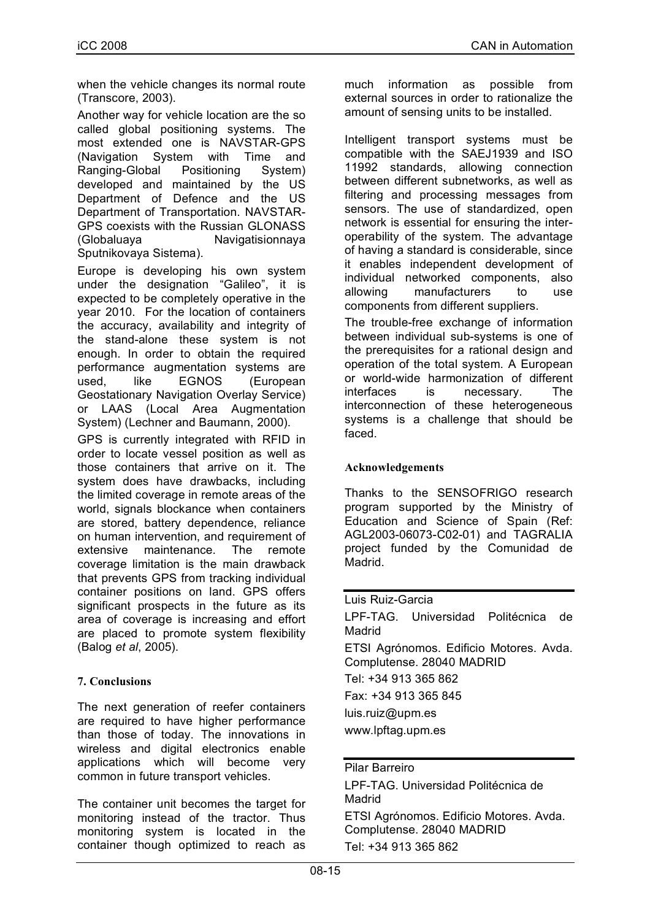when the vehicle changes its normal route (Transcore, 2003).

Another way for vehicle location are the so called global positioning systems. The most extended one is NAVSTAR-GPS (Navigation System with Time and Ranging-Global Positioning System) developed and maintained by the US Department of Defence and the US Department of Transportation. NAVSTAR-GPS coexists with the Russian GLONASS (Globaluaya Navigatisionnaya Sputnikovaya Sistema).

Europe is developing his own system under the designation "Galileo", it is expected to be completely operative in the year 2010. For the location of containers the accuracy, availability and integrity of the stand-alone these system is not enough. In order to obtain the required performance augmentation systems are used, like EGNOS (European Geostationary Navigation Overlay Service) or LAAS (Local Area Augmentation System) (Lechner and Baumann, 2000).

GPS is currently integrated with RFID in order to locate vessel position as well as those containers that arrive on it. The system does have drawbacks, including the limited coverage in remote areas of the world, signals blockance when containers are stored, battery dependence, reliance on human intervention, and requirement of extensive maintenance. The remote coverage limitation is the main drawback that prevents GPS from tracking individual container positions on land. GPS offers significant prospects in the future as its area of coverage is increasing and effort are placed to promote system flexibility (Balog *et al*, 2005).

## **7. Conclusions**

The next generation of reefer containers are required to have higher performance than those of today. The innovations in wireless and digital electronics enable applications which will become very common in future transport vehicles.

The container unit becomes the target for monitoring instead of the tractor. Thus monitoring system is located in the container though optimized to reach as much information as possible from external sources in order to rationalize the amount of sensing units to be installed.

Intelligent transport systems must be compatible with the SAEJ1939 and ISO 11992 standards, allowing connection between different subnetworks, as well as filtering and processing messages from sensors. The use of standardized, open network is essential for ensuring the interoperability of the system. The advantage of having a standard is considerable, since it enables independent development of individual networked components, also allowing manufacturers to use components from different suppliers.

The trouble-free exchange of information between individual sub-systems is one of the prerequisites for a rational design and operation of the total system. A European or world-wide harmonization of different interfaces is necessary. The interconnection of these heterogeneous systems is a challenge that should be faced.

## **Acknowledgements**

Thanks to the SENSOFRIGO research program supported by the Ministry of Education and Science of Spain (Ref: AGL2003-06073-C02-01) and TAGRALIA project funded by the Comunidad de Madrid.

Luis Ruiz-Garcia LPF-TAG. Universidad Politécnica de Madrid ETSI Agrónomos. Edificio Motores. Avda. Complutense. 28040 MADRID Tel: +34 913 365 862 Fax: +34 913 365 845 luis.ruiz@upm.es www.lpftag.upm.es

#### Pilar Barreiro

LPF-TAG. Universidad Politécnica de Madrid ETSI Agrónomos. Edificio Motores. Avda. Complutense. 28040 MADRID Tel: +34 913 365 862